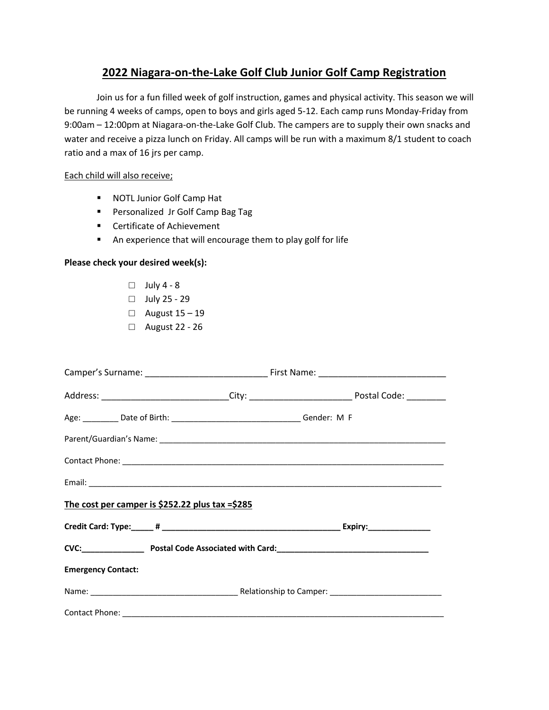# **2022 Niagara-on-the-Lake Golf Club Junior Golf Camp Registration**

Join us for a fun filled week of golf instruction, games and physical activity. This season we will be running 4 weeks of camps, open to boys and girls aged 5-12. Each camp runs Monday-Friday from 9:00am – 12:00pm at Niagara-on-the-Lake Golf Club. The campers are to supply their own snacks and water and receive a pizza lunch on Friday. All camps will be run with a maximum 8/1 student to coach ratio and a max of 16 jrs per camp.

# Each child will also receive;

- NOTL Junior Golf Camp Hat
- Personalized Jr Golf Camp Bag Tag
- Certificate of Achievement
- An experience that will encourage them to play golf for life

## **Please check your desired week(s):**

- $\Box$  July 4 8
- □ July 25 29
- □ August 15 19
- □ August 22 26

| The cost per camper is \$252.22 plus tax =\$285 |  |  |  |  |
|-------------------------------------------------|--|--|--|--|
|                                                 |  |  |  |  |
|                                                 |  |  |  |  |
| <b>Emergency Contact:</b>                       |  |  |  |  |
|                                                 |  |  |  |  |
|                                                 |  |  |  |  |